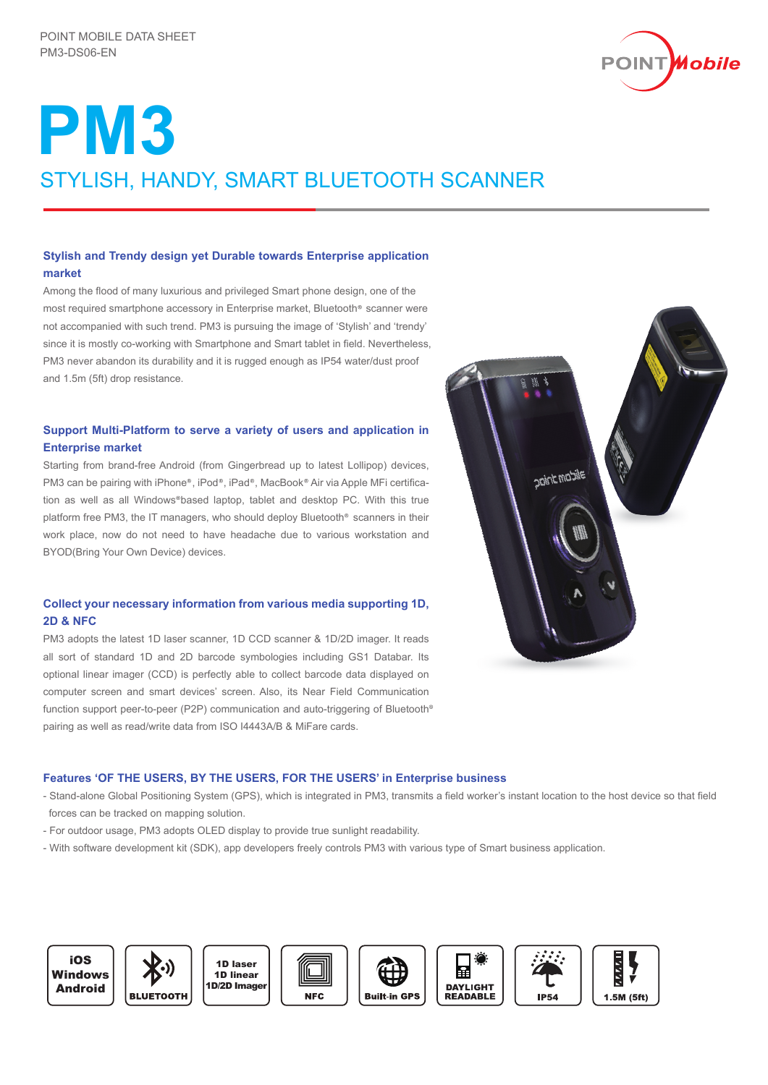

# **PM3** STYLISH, HANDY, SMART BLUETOOTH SCANNER

# **Stylish and Trendy design yet Durable towards Enterprise application market**

Among the flood of many luxurious and privileged Smart phone design, one of the most required smartphone accessory in Enterprise market. Bluetooth<sup>®</sup> scanner were not accompanied with such trend. PM3 is pursuing the image of 'Stylish' and 'trendy' since it is mostly co-working with Smartphone and Smart tablet in field. Nevertheless, PM3 never abandon its durability and it is rugged enough as IP54 water/dust proof and 1.5m (5ft) drop resistance.

# **Support Multi-Platform to serve a variety of users and application in Enterprise market**

Starting from brand-free Android (from Gingerbread up to latest Lollipop) devices, PM3 can be pairing with iPhone®, iPod®, iPad®, MacBook® Air via Apple MFi certification as well as all Windows®based laptop, tablet and desktop PC. With this true platform free PM3, the IT managers, who should deploy Bluetooth<sup>®</sup> scanners in their work place, now do not need to have headache due to various workstation and BYOD(Bring Your Own Device) devices.

# **Collect your necessary information from various media supporting 1D, 2D & NFC**

PM3 adopts the latest 1D laser scanner, 1D CCD scanner & 1D/2D imager. It reads all sort of standard 1D and 2D barcode symbologies including GS1 Databar. Its optional linear imager (CCD) is perfectly able to collect barcode data displayed on computer screen and smart devices' screen. Also, its Near Field Communication function support peer-to-peer (P2P) communication and auto-triggering of Bluetooth pairing as well as read/write data from ISO I4443A/B & MiFare cards.



# **Features 'OF THE USERS, BY THE USERS, FOR THE USERS' in Enterprise business**

- Stand-alone Global Positioning System (GPS), which is integrated in PM3, transmits a field worker's instant location to the host device so that field forces can be tracked on mapping solution.
- For outdoor usage, PM3 adopts OLED display to provide true sunlight readability.
- With software development kit (SDK), app developers freely controls PM3 with various type of Smart business application.